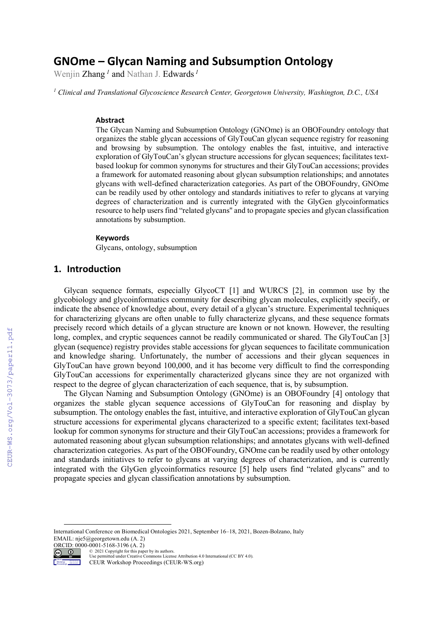# **GNOme – Glycan Naming and Subsumption Ontology**

Wenjin Zhang *<sup>1</sup>* and Nathan J. Edwards *<sup>1</sup>*

*<sup>1</sup> Clinical and Translational Glycoscience Research Center, Georgetown University, Washington, D.C., USA*

#### **Abstract**

The Glycan Naming and Subsumption Ontology (GNOme) is an OBOFoundry ontology that organizes the stable glycan accessions of GlyTouCan glycan sequence registry for reasoning and browsing by subsumption. The ontology enables the fast, intuitive, and interactive exploration of GlyTouCan's glycan structure accessions for glycan sequences; facilitates textbased lookup for common synonyms for structures and their GlyTouCan accessions; provides a framework for automated reasoning about glycan subsumption relationships; and annotates glycans with well-defined characterization categories. As part of the OBOFoundry, GNOme can be readily used by other ontology and standards initiatives to refer to glycans at varying degrees of characterization and is currently integrated with the GlyGen glycoinformatics resource to help users find "related glycans'' and to propagate species and glycan classification annotations by subsumption.

#### **Keywords**

Glycans, ontology, subsumption

### **1. Introduction**

Glycan sequence formats, especially GlycoCT [1] and WURCS [2], in common use by the glycobiology and glycoinformatics community for describing glycan molecules, explicitly specify, or indicate the absence of knowledge about, every detail of a glycan's structure. Experimental techniques for characterizing glycans are often unable to fully characterize glycans, and these sequence formats precisely record which details of a glycan structure are known or not known. However, the resulting long, complex, and cryptic sequences cannot be readily communicated or shared. The GlyTouCan [3] glycan (sequence) registry provides stable accessions for glycan sequences to facilitate communication and knowledge sharing. Unfortunately, the number of accessions and their glycan sequences in GlyTouCan have grown beyond 100,000, and it has become very difficult to find the corresponding GlyTouCan accessions for experimentally characterized glycans since they are not organized with respect to the degree of glycan characterization of each sequence, that is, by subsumption.

The Glycan Naming and Subsumption Ontology (GNOme) is an OBOFoundry [4] ontology that organizes the stable glycan sequence accessions of GlyTouCan for reasoning and display by subsumption. The ontology enables the fast, intuitive, and interactive exploration of GlyTouCan glycan structure accessions for experimental glycans characterized to a specific extent; facilitates text-based lookup for common synonyms for structure and their GlyTouCan accessions; provides a framework for automated reasoning about glycan subsumption relationships; and annotates glycans with well-defined characterization categories. As part of the OBOFoundry, GNOme can be readily used by other ontology and standards initiatives to refer to glycans at varying degrees of characterization, and is currently integrated with the GlyGen glycoinformatics resource [5] help users find "related glycans" and to propagate species and glycan classification annotations by subsumption.

ORCID: 0000-0001-5168-3196 (A. 2)  $\bigcirc$ 

Workshop Proceedings © 2021 Copyright for this paper by its authors. Use permitted under Creative Commons License Attribution 4.0 International (CC BY 4.0).

CEUR Workshop Proceedings (CEUR-WS.org)

International Conference on Biomedical Ontologies 2021, September 16–18, 2021, Bozen-Bolzano, Italy EMAIL: nje5@georgetown.edu (A. 2)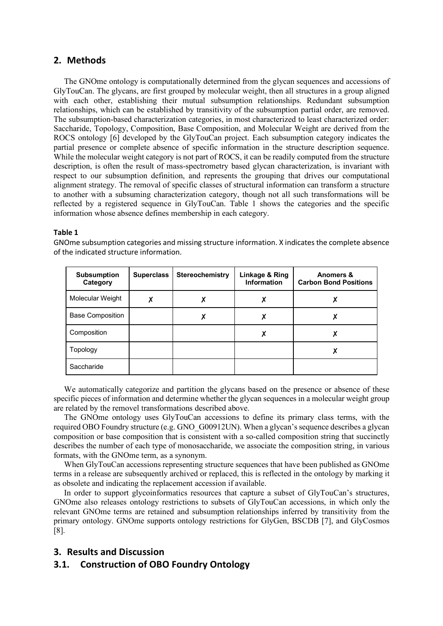### **2. Methods**

The GNOme ontology is computationally determined from the glycan sequences and accessions of GlyTouCan. The glycans, are first grouped by molecular weight, then all structures in a group aligned with each other, establishing their mutual subsumption relationships. Redundant subsumption relationships, which can be established by transitivity of the subsumption partial order, are removed. The subsumption-based characterization categories, in most characterized to least characterized order: Saccharide, Topology, Composition, Base Composition, and Molecular Weight are derived from the ROCS ontology [6] developed by the GlyTouCan project. Each subsumption category indicates the partial presence or complete absence of specific information in the structure description sequence. While the molecular weight category is not part of ROCS, it can be readily computed from the structure description, is often the result of mass-spectrometry based glycan characterization, is invariant with respect to our subsumption definition, and represents the grouping that drives our computational alignment strategy. The removal of specific classes of structural information can transform a structure to another with a subsuming characterization category, though not all such transformations will be reflected by a registered sequence in GlyTouCan. Table 1 shows the categories and the specific information whose absence defines membership in each category.

#### **Table 1**

GNOme subsumption categories and missing structure information. X indicates the complete absence of the indicated structure information.

| <b>Subsumption</b><br>Category | <b>Superclass</b> | Stereochemistry | Linkage & Ring<br><b>Information</b> | Anomers &<br><b>Carbon Bond Positions</b> |
|--------------------------------|-------------------|-----------------|--------------------------------------|-------------------------------------------|
| Molecular Weight               | Χ                 | Х               | Χ                                    |                                           |
| <b>Base Composition</b>        |                   | χ               |                                      |                                           |
| Composition                    |                   |                 |                                      |                                           |
| Topology                       |                   |                 |                                      |                                           |
| Saccharide                     |                   |                 |                                      |                                           |

We automatically categorize and partition the glycans based on the presence or absence of these specific pieces of information and determine whether the glycan sequences in a molecular weight group are related by the removel transformations described above.

The GNOme ontology uses GlyTouCan accessions to define its primary class terms, with the required OBO Foundry structure (e.g. GNO\_G00912UN). When a glycan's sequence describes a glycan composition or base composition that is consistent with a so-called composition string that succinctly describes the number of each type of monosaccharide, we associate the composition string, in various formats, with the GNOme term, as a synonym.

When GlyTouCan accessions representing structure sequences that have been published as GNOme terms in a release are subsequently archived or replaced, this is reflected in the ontology by marking it as obsolete and indicating the replacement accession if available.

In order to support glycoinformatics resources that capture a subset of GlyTouCan's structures, GNOme also releases ontology restrictions to subsets of GlyTouCan accessions, in which only the relevant GNOme terms are retained and subsumption relationships inferred by transitivity from the primary ontology. GNOme supports ontology restrictions for GlyGen, BSCDB [7], and GlyCosmos [8].

# **3. Results and Discussion**

# **3.1. Construction of OBO Foundry Ontology**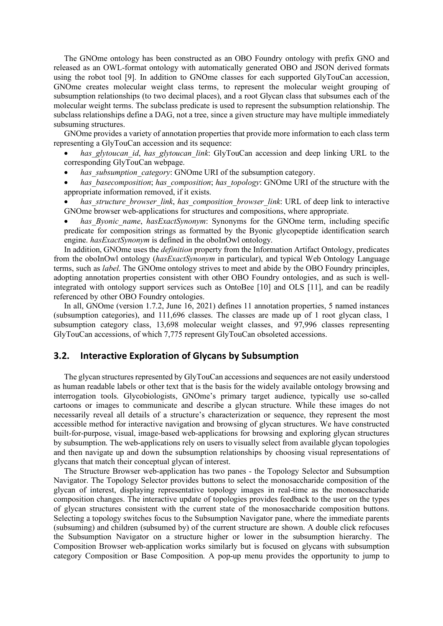The GNOme ontology has been constructed as an OBO Foundry ontology with prefix GNO and released as an OWL-format ontology with automatically generated OBO and JSON derived formats using the robot tool [9]. In addition to GNOme classes for each supported GlyTouCan accession, GNOme creates molecular weight class terms, to represent the molecular weight grouping of subsumption relationships (to two decimal places), and a root Glycan class that subsumes each of the molecular weight terms. The subclass predicate is used to represent the subsumption relationship. The subclass relationships define a DAG, not a tree, since a given structure may have multiple immediately subsuming structures.

GNOme provides a variety of annotation properties that provide more information to each class term representing a GlyTouCan accession and its sequence:

- has glytoucan *id*, has glytoucan link: GlyTouCan accession and deep linking URL to the corresponding GlyTouCan webpage.
- has subsumption category: GNOme URI of the subsumption category.
- *has\_basecomposition*; *has\_composition*; *has\_topology*: GNOme URI of the structure with the appropriate information removed, if it exists.
- *has\_structure\_browser\_link*, *has\_composition\_browser\_link*: URL of deep link to interactive GNOme browser web-applications for structures and compositions, where appropriate.
- has Byonic name, hasExactSynonym: Synonyms for the GNOme term, including specific predicate for composition strings as formatted by the Byonic glycopeptide identification search engine. *hasExactSynonym* is defined in the oboInOwl ontology.

In addition, GNOme uses the *definition* property from the Information Artifact Ontology, predicates from the oboInOwl ontology (*hasExactSynonym* in particular), and typical Web Ontology Language terms, such as *label*. The GNOme ontology strives to meet and abide by the OBO Foundry principles, adopting annotation properties consistent with other OBO Foundry ontologies, and as such is wellintegrated with ontology support services such as OntoBee [10] and OLS [11], and can be readily referenced by other OBO Foundry ontologies.

In all, GNOme (version 1.7.2, June 16, 2021) defines 11 annotation properties, 5 named instances (subsumption categories), and 111,696 classes. The classes are made up of 1 root glycan class, 1 subsumption category class, 13,698 molecular weight classes, and 97,996 classes representing GlyTouCan accessions, of which 7,775 represent GlyTouCan obsoleted accessions.

### **3.2. Interactive Exploration of Glycans by Subsumption**

The glycan structures represented by GlyTouCan accessions and sequences are not easily understood as human readable labels or other text that is the basis for the widely available ontology browsing and interrogation tools. Glycobiologists, GNOme's primary target audience, typically use so-called cartoons or images to communicate and describe a glycan structure. While these images do not necessarily reveal all details of a structure's characterization or sequence, they represent the most accessible method for interactive navigation and browsing of glycan structures. We have constructed built-for-purpose, visual, image-based web-applications for browsing and exploring glycan structures by subsumption. The web-applications rely on users to visually select from available glycan topologies and then navigate up and down the subsumption relationships by choosing visual representations of glycans that match their conceptual glycan of interest.

The Structure Browser web-application has two panes - the Topology Selector and Subsumption Navigator. The Topology Selector provides buttons to select the monosaccharide composition of the glycan of interest, displaying representative topology images in real-time as the monosaccharide composition changes. The interactive update of topologies provides feedback to the user on the types of glycan structures consistent with the current state of the monosaccharide composition buttons. Selecting a topology switches focus to the Subsumption Navigator pane, where the immediate parents (subsuming) and children (subsumed by) of the current structure are shown. A double click refocuses the Subsumption Navigator on a structure higher or lower in the subsumption hierarchy. The Composition Browser web-application works similarly but is focused on glycans with subsumption category Composition or Base Composition. A pop-up menu provides the opportunity to jump to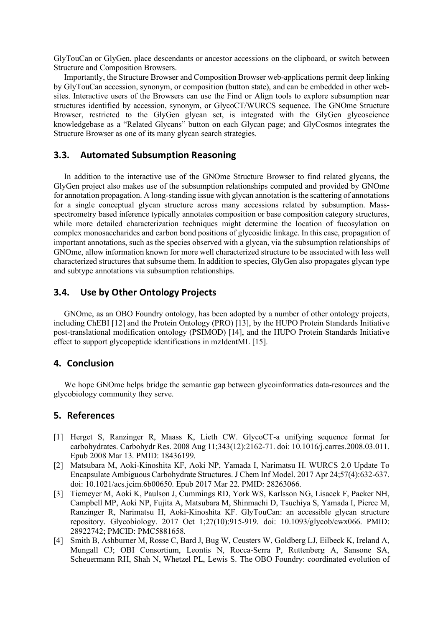GlyTouCan or GlyGen, place descendants or ancestor accessions on the clipboard, or switch between Structure and Composition Browsers.

Importantly, the Structure Browser and Composition Browser web-applications permit deep linking by GlyTouCan accession, synonym, or composition (button state), and can be embedded in other websites. Interactive users of the Browsers can use the Find or Align tools to explore subsumption near structures identified by accession, synonym, or GlycoCT/WURCS sequence. The GNOme Structure Browser, restricted to the GlyGen glycan set, is integrated with the GlyGen glycoscience knowledgebase as a "Related Glycans" button on each Glycan page; and GlyCosmos integrates the Structure Browser as one of its many glycan search strategies.

## **3.3. Automated Subsumption Reasoning**

In addition to the interactive use of the GNOme Structure Browser to find related glycans, the GlyGen project also makes use of the subsumption relationships computed and provided by GNOme for annotation propagation. A long-standing issue with glycan annotation is the scattering of annotations for a single conceptual glycan structure across many accessions related by subsumption. Massspectrometry based inference typically annotates composition or base composition category structures, while more detailed characterization techniques might determine the location of fucosylation on complex monosaccharides and carbon bond positions of glycosidic linkage. In this case, propagation of important annotations, such as the species observed with a glycan, via the subsumption relationships of GNOme, allow information known for more well characterized structure to be associated with less well characterized structures that subsume them. In addition to species, GlyGen also propagates glycan type and subtype annotations via subsumption relationships.

# **3.4. Use by Other Ontology Projects**

GNOme, as an OBO Foundry ontology, has been adopted by a number of other ontology projects, including ChEBI [12] and the Protein Ontology (PRO) [13], by the HUPO Protein Standards Initiative post-translational modification ontology (PSIMOD) [14], and the HUPO Protein Standards Initiative effect to support glycopeptide identifications in mzIdentML [15].

### **4. Conclusion**

We hope GNOme helps bridge the semantic gap between glycoinformatics data-resources and the glycobiology community they serve.

# **5. References**

- [1] Herget S, Ranzinger R, Maass K, Lieth CW. GlycoCT-a unifying sequence format for carbohydrates. Carbohydr Res. 2008 Aug 11;343(12):2162-71. doi: 10.1016/j.carres.2008.03.011. Epub 2008 Mar 13. PMID: 18436199.
- [2] Matsubara M, Aoki-Kinoshita KF, Aoki NP, Yamada I, Narimatsu H. WURCS 2.0 Update To Encapsulate Ambiguous Carbohydrate Structures. J Chem Inf Model. 2017 Apr 24;57(4):632-637. doi: 10.1021/acs.jcim.6b00650. Epub 2017 Mar 22. PMID: 28263066.
- [3] Tiemeyer M, Aoki K, Paulson J, Cummings RD, York WS, Karlsson NG, Lisacek F, Packer NH, Campbell MP, Aoki NP, Fujita A, Matsubara M, Shinmachi D, Tsuchiya S, Yamada I, Pierce M, Ranzinger R, Narimatsu H, Aoki-Kinoshita KF. GlyTouCan: an accessible glycan structure repository. Glycobiology. 2017 Oct 1;27(10):915-919. doi: 10.1093/glycob/cwx066. PMID: 28922742; PMCID: PMC5881658.
- [4] Smith B, Ashburner M, Rosse C, Bard J, Bug W, Ceusters W, Goldberg LJ, Eilbeck K, Ireland A, Mungall CJ; OBI Consortium, Leontis N, Rocca-Serra P, Ruttenberg A, Sansone SA, Scheuermann RH, Shah N, Whetzel PL, Lewis S. The OBO Foundry: coordinated evolution of